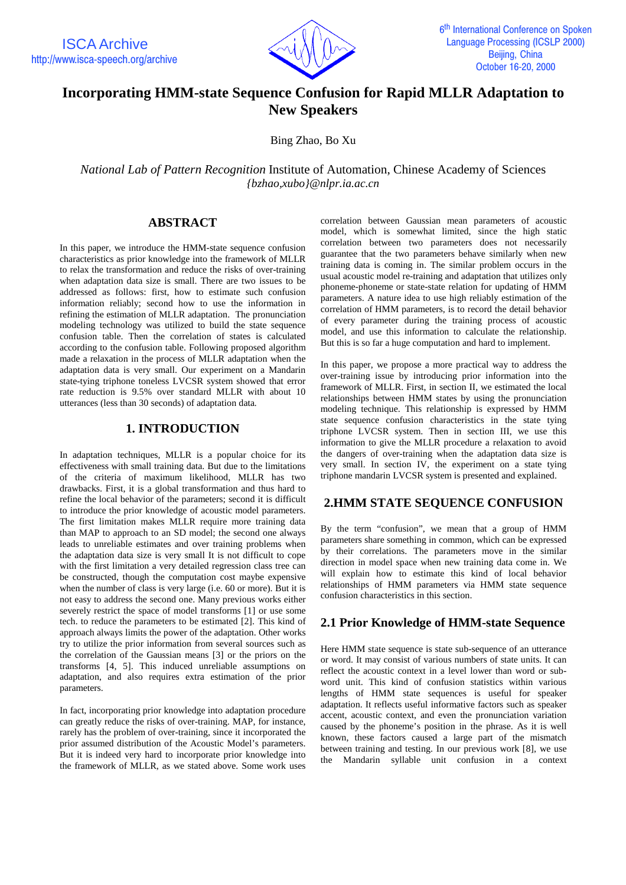

# **Incorporating HMM-state Sequence Confusion for Rapid MLLR Adaptation to New Speakers**

Bing Zhao, Bo Xu

*National Lab of Pattern Recognition* Institute of Automation, Chinese Academy of Sciences *{bzhao,xubo}@nlpr.ia.ac.cn*

## **ABSTRACT**

In this paper, we introduce the HMM-state sequence confusion characteristics as prior knowledge into the framework of MLLR to relax the transformation and reduce the risks of over-training when adaptation data size is small. There are two issues to be addressed as follows: first, how to estimate such confusion information reliably; second how to use the information in refining the estimation of MLLR adaptation. The pronunciation modeling technology was utilized to build the state sequence confusion table. Then the correlation of states is calculated according to the confusion table. Following proposed algorithm made a relaxation in the process of MLLR adaptation when the adaptation data is very small. Our experiment on a Mandarin state-tying triphone toneless LVCSR system showed that error rate reduction is 9.5% over standard MLLR with about 10 utterances (less than 30 seconds) of adaptation data*.*

#### **1. INTRODUCTION**

In adaptation techniques, MLLR is a popular choice for its effectiveness with small training data. But due to the limitations of the criteria of maximum likelihood, MLLR has two drawbacks. First, it is a global transformation and thus hard to refine the local behavior of the parameters; second it is difficult to introduce the prior knowledge of acoustic model parameters. The first limitation makes MLLR require more training data than MAP to approach to an SD model; the second one always leads to unreliable estimates and over training problems when the adaptation data size is very small It is not difficult to cope with the first limitation a very detailed regression class tree can be constructed, though the computation cost maybe expensive when the number of class is very large (i.e. 60 or more). But it is not easy to address the second one. Many previous works either severely restrict the space of model transforms [1] or use some tech. to reduce the parameters to be estimated [2]. This kind of approach always limits the power of the adaptation. Other works try to utilize the prior information from several sources such as the correlation of the Gaussian means [3] or the priors on the transforms [4, 5]. This induced unreliable assumptions on adaptation, and also requires extra estimation of the prior parameters.

In fact, incorporating prior knowledge into adaptation procedure can greatly reduce the risks of over-training. MAP, for instance, rarely has the problem of over-training, since it incorporated the prior assumed distribution of the Acoustic Model's parameters. But it is indeed very hard to incorporate prior knowledge into the framework of MLLR, as we stated above. Some work uses correlation between Gaussian mean parameters of acoustic model, which is somewhat limited, since the high static correlation between two parameters does not necessarily guarantee that the two parameters behave similarly when new training data is coming in. The similar problem occurs in the usual acoustic model re-training and adaptation that utilizes only phoneme-phoneme or state-state relation for updating of HMM parameters. A nature idea to use high reliably estimation of the correlation of HMM parameters, is to record the detail behavior of every parameter during the training process of acoustic model, and use this information to calculate the relationship. But this is so far a huge computation and hard to implement.

In this paper, we propose a more practical way to address the over-training issue by introducing prior information into the framework of MLLR. First, in section II, we estimated the local relationships between HMM states by using the pronunciation modeling technique. This relationship is expressed by HMM state sequence confusion characteristics in the state tying triphone LVCSR system. Then in section III, we use this information to give the MLLR procedure a relaxation to avoid the dangers of over-training when the adaptation data size is very small. In section IV, the experiment on a state tying triphone mandarin LVCSR system is presented and explained.

## **2.HMM STATE SEQUENCE CONFUSION**

By the term "confusion", we mean that a group of HMM parameters share something in common, which can be expressed by their correlations. The parameters move in the similar direction in model space when new training data come in. We will explain how to estimate this kind of local behavior relationships of HMM parameters via HMM state sequence confusion characteristics in this section.

## **2.1 Prior Knowledge of HMM-state Sequence**

Here HMM state sequence is state sub-sequence of an utterance or word. It may consist of various numbers of state units. It can reflect the acoustic context in a level lower than word or subword unit. This kind of confusion statistics within various lengths of HMM state sequences is useful for speaker adaptation. It reflects useful informative factors such as speaker accent, acoustic context, and even the pronunciation variation caused by the phoneme's position in the phrase. As it is well known, these factors caused a large part of the mismatch between training and testing. In our previous work [8], we use the Mandarin syllable unit confusion in a context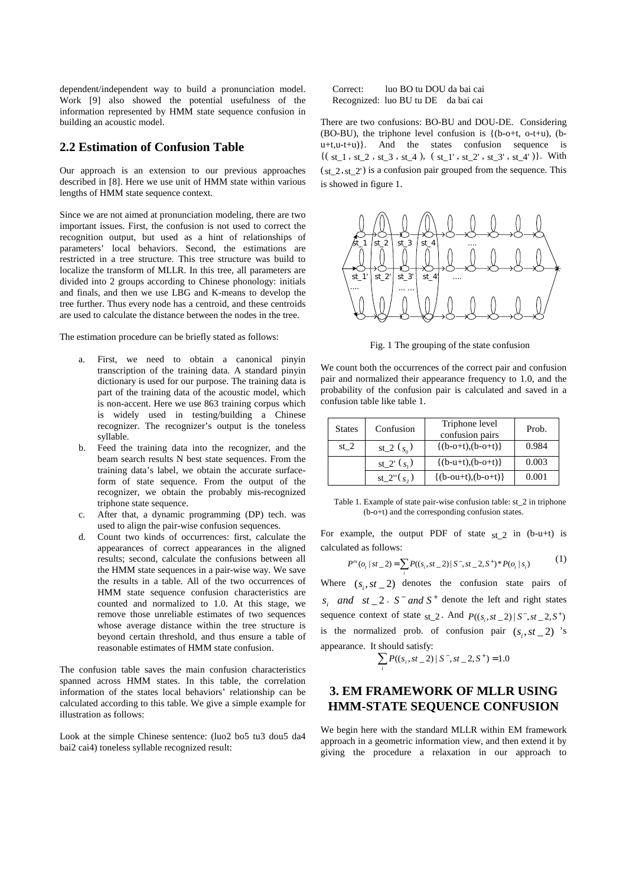dependent/independent way to build a pronunciation model. Work [9] also showed the potential usefulness of the information represented by HMM state sequence confusion in building an acoustic model.

#### **2.2 Estimation of Confusion Table**

Our approach is an extension to our previous approaches described in [8]. Here we use unit of HMM state within various lengths of HMM state sequence context.

Since we are not aimed at pronunciation modeling, there are two important issues. First, the confusion is not used to correct the recognition output, but used as a hint of relationships of parameters' local behaviors. Second, the estimations are restricted in a tree structure. This tree structure was build to localize the transform of MLLR. In this tree, all parameters are divided into 2 groups according to Chinese phonology: initials and finals, and then we use LBG and K-means to develop the tree further. Thus every node has a centroid, and these centroids are used to calculate the distance between the nodes in the tree.

The estimation procedure can be briefly stated as follows:

- First, we need to obtain a canonical pinyin transcription of the training data. A standard pinyin dictionary is used for our purpose. The training data is part of the training data of the acoustic model, which is non-accent. Here we use 863 training corpus which is widely used in testing/building a Chinese recognizer. The recognizer's output is the toneless syllable.
- b. Feed the training data into the recognizer, and the beam search results N best state sequences. From the training data's label, we obtain the accurate surfaceform of state sequence. From the output of the recognizer, we obtain the probably mis-recognized triphone state sequence.
- c. After that, a dynamic programming (DP) tech. was used to align the pair-wise confusion sequences.
- d. Count two kinds of occurrences: first, calculate the appearances of correct appearances in the aligned results; second, calculate the confusions between all the HMM state sequences in a pair-wise way. We save the results in a table. All of the two occurrences of HMM state sequence confusion characteristics are counted and normalized to 1.0. At this stage, we remove those unreliable estimates of two sequences whose average distance within the tree structure is beyond certain threshold, and thus ensure a table of reasonable estimates of HMM state confusion.

The confusion table saves the main confusion characteristics spanned across HMM states. In this table, the correlation information of the states local behaviors' relationship can be calculated according to this table. We give a simple example for illustration as follows:

Look at the simple Chinese sentence: (luo2 bo5 tu3 dou5 da4 bai2 cai4) toneless syllable recognized result:

Correct: luo BO tu DOU da bai cai Recognized: luo BU tu DE da bai cai

There are two confusions: BO-BU and DOU-DE. Considering (BO-BU), the triphone level confusion is  ${(b-0+t, 0-t+u)}$ , (b $u+t, u-t+u$ ). And the states confusion sequence is  ${ (s_{t-1}, s_{t-2}, s_{t-3}, s_{t-4}), (s_{t-1}, s_{t-2}, s_{t-3}, s_{t-4})}.$  With  $(s_{t-2}, s_{t-2}')$  is a confusion pair grouped from the sequence. This is showed in figure 1.



Fig. 1 The grouping of the state confusion

We count both the occurrences of the correct pair and confusion pair and normalized their appearance frequency to 1.0, and the probability of the confusion pair is calculated and saved in a confusion table like table 1.

| <b>States</b> | Confusion     | Triphone level<br>confusion pairs | Prob. |
|---------------|---------------|-----------------------------------|-------|
| st $2$        | st_2 $(s_0)$  | $\{(b-o+t),(b-o+t)\}$             | 0.984 |
|               | st_2' $(s_1)$ | $\{(b-u+t),(b-o+t)\}\$            | 0.003 |
|               | st_2" $(s_2)$ | $\{(b-out+t),(b-o+t)\}\$          | 0.001 |

Table 1. Example of state pair-wise confusion table: st\_2 in triphone (b-o+t) and the corresponding confusion states.

For example, the output PDF of state  $st_2$  in (b-u+t) is calculated as follows:

$$
P^{ex}(o_t \mid st_2) = \sum_i P((s_i, st_2) \mid S^-, st_2, S^+)^* P(o_t \mid s_i)
$$
 (1)

Where  $(s_i, st_2)$  denotes the confusion state pairs of *s* and  $st \_2$   $\_ S^-$  and  $S^+$  denote the left and right states sequence context of state st 2. And  $P(( s_1, s_1 z_1 ) | S^-, st_2 z_2 )$ is the normalized prob. of confusion pair  $(s_i, st_2)$  's appearance. It should satisfy:

$$
\sum_i P((s_i, st\_\,2) \mid S^-, st\_\,2, S^+) = 1.0
$$

## **3. EM FRAMEWORK OF MLLR USING HMM-STATE SEQUENCE CONFUSION**

We begin here with the standard MLLR within EM framework approach in a geometric information view, and then extend it by giving the procedure a relaxation in our approach to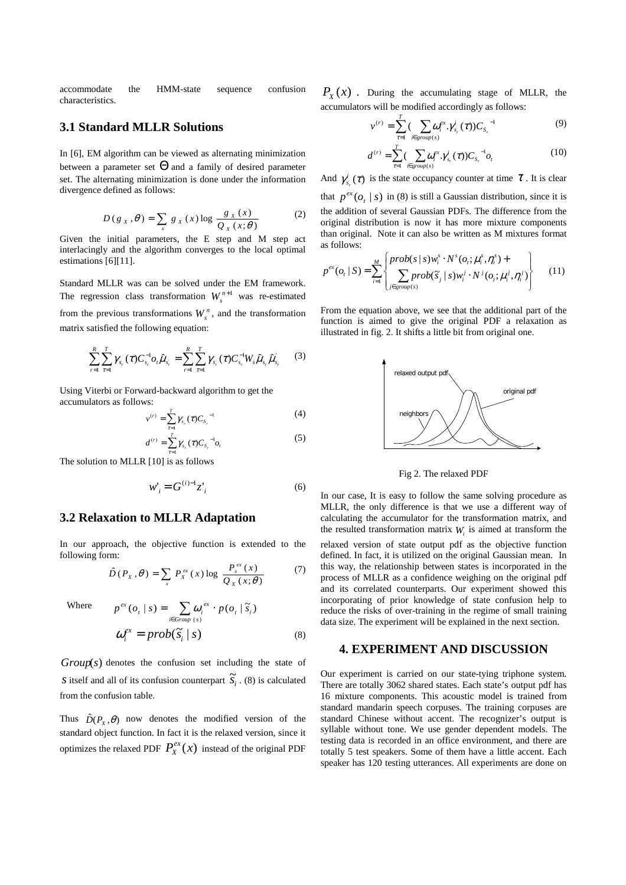accommodate the HMM-state sequence confusion characteristics.

## **3.1 Standard MLLR Solutions**

In [6], EM algorithm can be viewed as alternating minimization between a parameter set  $\Theta$  and a family of desired parameter set. The alternating minimization is done under the information divergence defined as follows:

$$
D(g_x, \theta) = \sum_{x} g_x(x) \log \frac{g_x(x)}{Q_x(x; \theta)}
$$
 (2)

Given the initial parameters, the E step and M step act interlacingly and the algorithm converges to the local optimal estimations [6][11].

Standard MLLR was can be solved under the EM framework. The regression class transformation  $W_{s}^{n+1}$  was re-estimated from the previous transformations  $W_s^n$ , and the transformation matrix satisfied the following equation:

$$
\sum_{r=1}^{R} \sum_{\tau=1}^{T} \gamma_{s_r}(\tau) C_{s_r}^{-1} o_t \hat{\mu}_{s_r} = \sum_{r=1}^{R} \sum_{\tau=1}^{T} \gamma_{s_r}(\tau) C_{s_r}^{-1} W_s \hat{\mu}_{s_r} \hat{\mu}_{s_r}.
$$
 (3)

Using Viterbi or Forward-backward algorithm to get the accumulators as follows:

$$
v^{(r)} = \sum_{\tau=1}^{T} \gamma_{s_{r}}(\tau) C_{s_{r}}^{-1}
$$
 (4)

$$
d^{(r)} = \sum_{\tau=1}^{T} \gamma_{s_{r}}(\tau) C_{s_{r}}^{-1} o_{t}
$$
 (5)

The solution to MLLR [10] is as follows

$$
w'_i = G^{(i)-1} z'_i \tag{6}
$$

#### **3.2 Relaxation to MLLR Adaptation**

In our approach, the objective function is extended to the following form:

$$
\hat{D}(P_x,\theta) = \sum_{x} P_x^{ex}(x) \log \frac{P_x^{ex}(x)}{Q_x(x;\theta)} \tag{7}
$$

Where 
$$
p^{ex}(o_{t} | s) = \sum_{i \in Group(s)} \omega_{i}^{ex} \cdot p(o_{t} | \tilde{s}_{i})
$$

$$
\omega_{i}^{ex} = prob(\tilde{s}_{i} | s)
$$
(8)

 $Group(s)$  denotes the confusion set including the state of *s* itself and all of its confusion counterpart  $\widetilde{S}_i$ . (8) is calculated from the confusion table.

Thus  $\hat{D}(P_v, \theta)$  now denotes the modified version of the standard object function. In fact it is the relaxed version, since it optimizes the relaxed PDF  $P_X^{ex}(x)$  instead of the original PDF

 $P_X(x)$ . During the accumulating stage of MLLR, the accumulators will be modified accordingly as follows:

$$
\nu^{(r)} = \sum_{\tau=1}^{T} \left( \sum_{i \in group(s)} \omega_i^{ex} \cdot \gamma_{s_r}^i(\tau) \right) C_{S_r}^{-1} \tag{9}
$$

$$
d^{(r)} = \sum_{\tau=1}^{T} \left( \sum_{i \in group(s)} \omega_i^{ex} \cdot \gamma_{s_r}^{i}(\tau) \right) C_{S_r}^{-1} o_t \tag{10}
$$

And  $\gamma_{s_r}^i(\tau)$  is the state occupancy counter at time  $\tau$ . It is clear that  $p^{ex}(o_t | s)$  in (8) is still a Gaussian distribution, since it is the addition of several Gaussian PDFs. The difference from the original distribution is now it has more mixture components than original. Note it can also be written as M mixtures format as follows:

$$
p^{ex}(o_i \mid S) = \sum_{i=1}^{M} \left\{ \frac{prob(s \mid s)w_i^s \cdot N^s(o_i; \mu_i^s, \eta_i^s) +}{\sum_{j \in group(s)} prob(\widetilde{s}_j \mid s)w_i^j \cdot N^j(o_i; \mu_i^j, \eta_i^j)} \right\}
$$
(11)

From the equation above, we see that the additional part of the function is aimed to give the original PDF a relaxation as illustrated in fig. 2. It shifts a little bit from original one.



Fig 2. The relaxed PDF

In our case, It is easy to follow the same solving procedure as MLLR, the only difference is that we use a different way of calculating the accumulator for the transformation matrix, and the resulted transformation matrix  $W_i$  is aimed at transform the

relaxed version of state output pdf as the objective function defined. In fact, it is utilized on the original Gaussian mean. In this way, the relationship between states is incorporated in the process of MLLR as a confidence weighing on the original pdf and its correlated counterparts. Our experiment showed this incorporating of prior knowledge of state confusion help to reduce the risks of over-training in the regime of small training data size. The experiment will be explained in the next section.

#### **4. EXPERIMENT AND DISCUSSION**

Our experiment is carried on our state-tying triphone system. There are totally 3062 shared states. Each state's output pdf has 16 mixture components. This acoustic model is trained from standard mandarin speech corpuses. The training corpuses are standard Chinese without accent. The recognizer's output is syllable without tone. We use gender dependent models. The testing data is recorded in an office environment, and there are totally 5 test speakers. Some of them have a little accent. Each speaker has 120 testing utterances. All experiments are done on